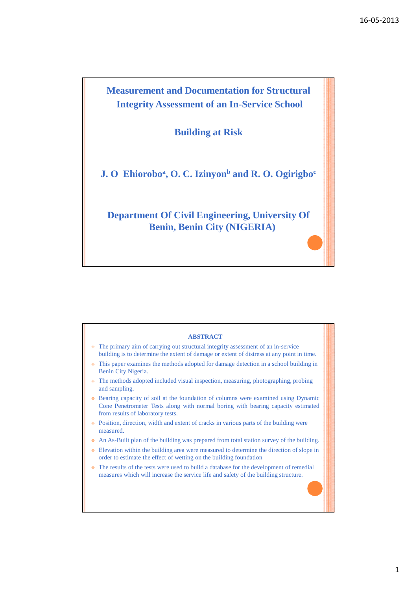**Measurement and Documentation for Structural Integrity Assessment of an In-Service School** 

**Building at Risk**

**J. O Ehiorobo<sup>a</sup> , O. C. Izinyon<sup>b</sup> and R. O. Ogirigbo<sup>c</sup>**

**Department Of Civil Engineering, University Of Benin, Benin City (NIGERIA)**

#### **ABSTRACT**

- The primary aim of carrying out structural integrity assessment of an in-service building is to determine the extent of damage or extent of distress at any point in time.
- This paper examines the methods adopted for damage detection in a school building in Benin City Nigeria.
- The methods adopted included visual inspection, measuring, photographing, probing and sampling.
- Bearing capacity of soil at the foundation of columns were examined using Dynamic Cone Penetrometer Tests along with normal boring with bearing capacity estimated from results of laboratory tests.
- Position, direction, width and extent of cracks in various parts of the building were measured.
- An As-Built plan of the building was prepared from total station survey of the building.
- Elevation within the building area were measured to determine the direction of slope in order to estimate the effect of wetting on the building foundation
- The results of the tests were used to build a database for the development of remedial measures which will increase the service life and safety of the building structure.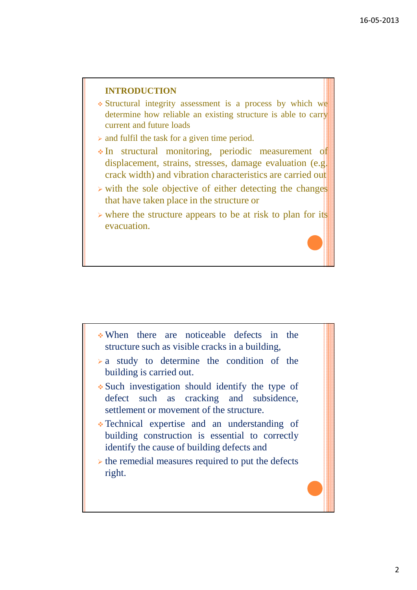## **INTRODUCTION**

- Structural integrity assessment is a process by which we determine how reliable an existing structure is able to carry current and future loads
- and fulfil the task for a given time period.
- In structural monitoring, periodic measurement of displacement, strains, stresses, damage evaluation (e.g. crack width) and vibration characteristics are carried out
- > with the sole objective of either detecting the changes that have taken place in the structure or
- > where the structure appears to be at risk to plan for its evacuation.

- When there are noticeable defects in the structure such as visible cracks in a building,
- a study to determine the condition of the building is carried out.
- Such investigation should identify the type of defect such as cracking and subsidence, settlement or movement of the structure.
- Technical expertise and an understanding of building construction is essential to correctly identify the cause of building defects and
- $\triangleright$  the remedial measures required to put the defects right.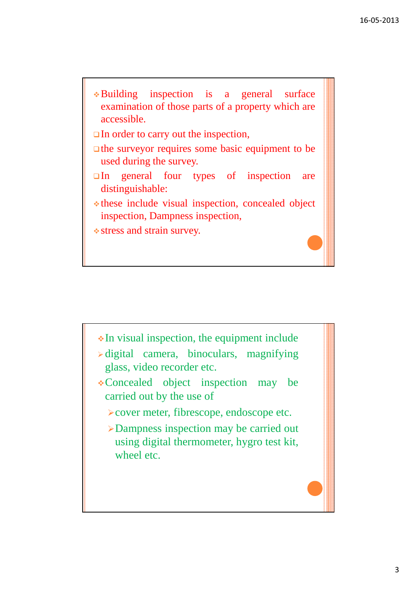

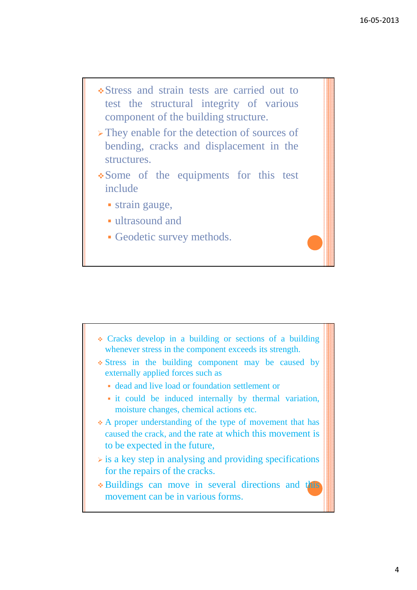- Stress and strain tests are carried out to test the structural integrity of various component of the building structure.
- They enable for the detection of sources of bending, cracks and displacement in the structures.
- Some of the equipments for this test include
	- strain gauge,
	- ultrasound and
	- Geodetic survey methods.

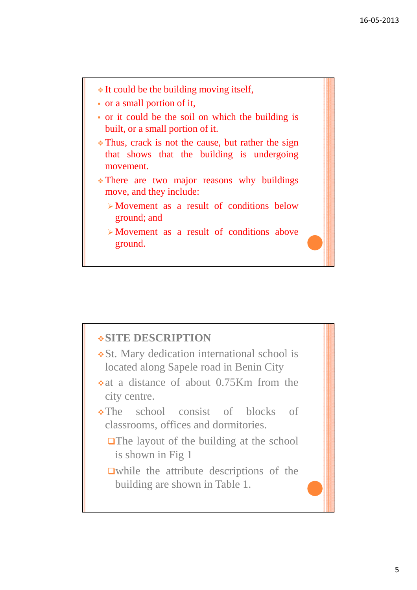

# **SITE DESCRIPTION**

- St. Mary dedication international school is located along Sapele road in Benin City
- at a distance of about 0.75Km from the city centre.
- •The school consist of blocks of classrooms, offices and dormitories.
	- $\Box$ The layout of the building at the school is shown in Fig 1
	- while the attribute descriptions of the building are shown in Table 1.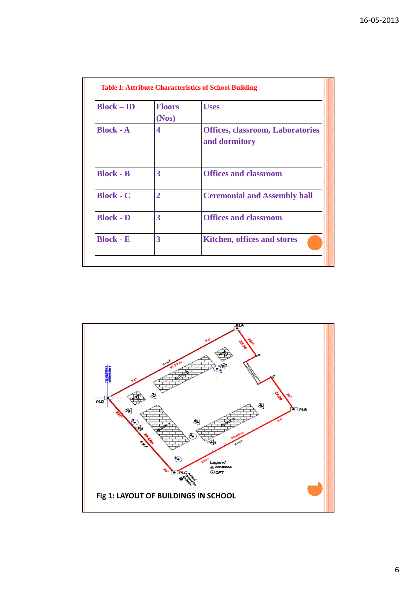| $Block - ID$     | <b>Floors</b><br>(Nos) | <b>Uses</b>                                              |
|------------------|------------------------|----------------------------------------------------------|
| <b>Block - A</b> | 4                      | <b>Offices, classroom, Laboratories</b><br>and dormitory |
| <b>Block - B</b> | 3                      | <b>Offices and classroom</b>                             |
| <b>Block - C</b> | $\overline{2}$         | <b>Ceremonial and Assembly hall</b>                      |
| <b>Block - D</b> | 3                      | <b>Offices and classroom</b>                             |
| <b>Block - E</b> | 3                      | <b>Kitchen, offices and stores</b>                       |

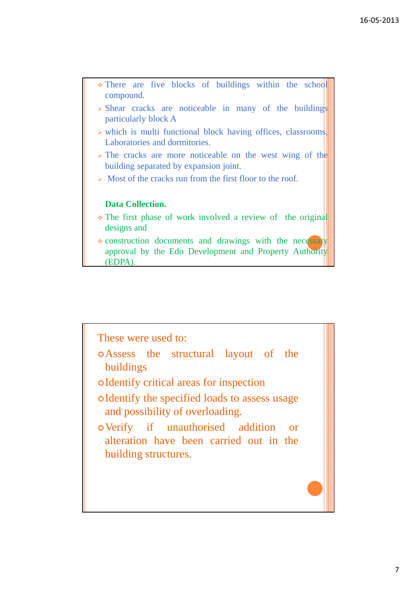

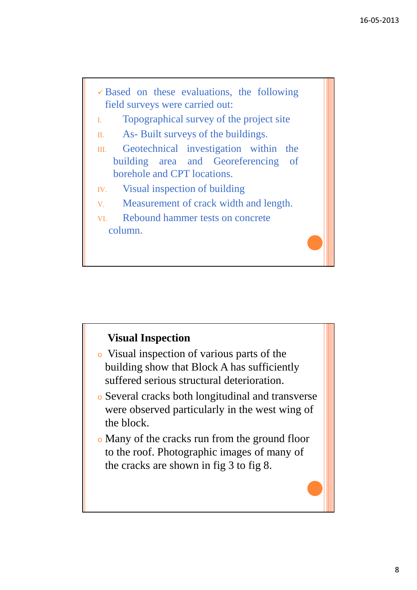

**Visual Inspection**

- <sup>o</sup> Visual inspection of various parts of the building show that Block A has sufficiently suffered serious structural deterioration.
- <sup>o</sup> Several cracks both longitudinal and transverse were observed particularly in the west wing of the block.
- <sup>o</sup> Many of the cracks run from the ground floor to the roof. Photographic images of many of the cracks are shown in fig 3 to fig 8.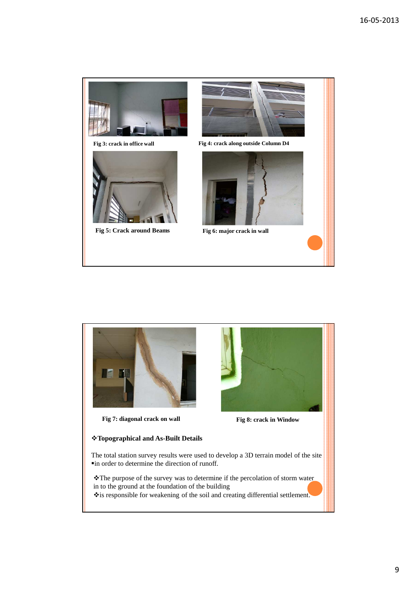



**Fig 7: diagonal crack on wall Fig 8: crack in Window**



#### **Topographical and As-Built Details**

The total station survey results were used to develop a 3D terrain model of the site -in order to determine the direction of runoff.

\* The purpose of the survey was to determine if the percolation of storm water in to the ground at the foundation of the building \* is responsible for weakening of the soil and creating differential settlement.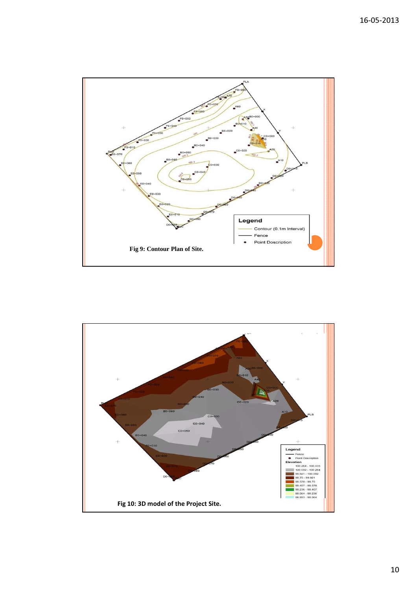

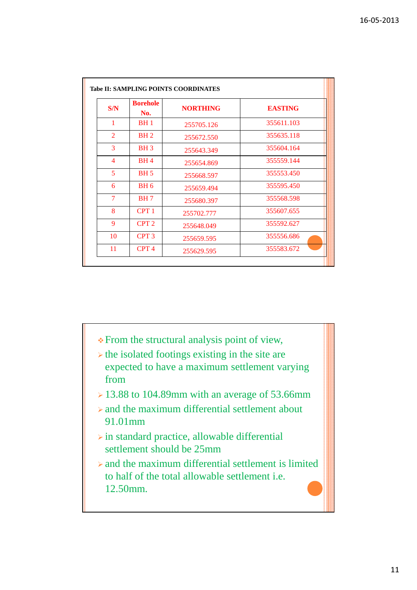| S/N            | <b>Borehole</b><br>No. | <b>NORTHING</b> | <b>EASTING</b> |
|----------------|------------------------|-----------------|----------------|
| $\mathbf{1}$   | BH <sub>1</sub>        | 255705.126      | 355611.103     |
| $\overline{2}$ | BH <sub>2</sub>        | 255672.550      | 355635.118     |
| 3              | BH <sub>3</sub>        | 255643.349      | 355604.164     |
| $\overline{4}$ | BH <sub>4</sub>        | 255654.869      | 355559.144     |
| 5              | <b>BH</b> 5            | 255668.597      | 355553.450     |
| 6              | BH <sub>6</sub>        | 255659.494      | 355595.450     |
| 7              | <b>BH</b> 7            | 255680.397      | 355568.598     |
| 8              | CPT <sub>1</sub>       | 255702.777      | 355607.655     |
| 9              | CPT <sub>2</sub>       | 255648.049      | 355592.627     |
| 10             | CPT <sub>3</sub>       | 255659.595      | 355556.686     |
| 11             | CPT <sub>4</sub>       | 255629.595      | 355583.672     |

- From the structural analysis point of view,
- $\triangleright$  the isolated footings existing in the site are expected to have a maximum settlement varying from
- $> 13.88$  to 104.89mm with an average of 53.66mm
- $\triangleright$  and the maximum differential settlement about 91.01mm
- $\triangleright$  in standard practice, allowable differential settlement should be 25mm
- $\geq$  and the maximum differential settlement is limited to half of the total allowable settlement i.e. 12.50mm.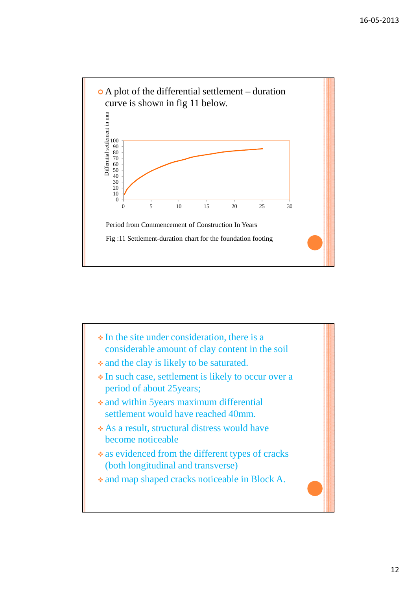

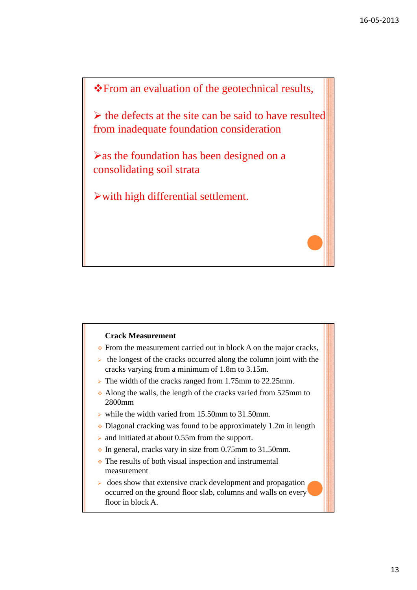

### **Crack Measurement**

- From the measurement carried out in block A on the major cracks,
- $\triangleright$  the longest of the cracks occurred along the column joint with the cracks varying from a minimum of 1.8m to 3.15m.
- ▶ The width of the cracks ranged from 1.75mm to 22.25mm.
- Along the walls, the length of the cracks varied from 525mm to 2800mm
- $\triangleright$  while the width varied from 15.50mm to 31.50mm.
- Diagonal cracking was found to be approximately 1.2m in length
- $\triangleright$  and initiated at about 0.55m from the support.
- $\cdot$  In general, cracks vary in size from 0.75mm to 31.50mm.
- The results of both visual inspection and instrumental measurement
- $\triangleright$  does show that extensive crack development and propagation occurred on the ground floor slab, columns and walls on every floor in block A.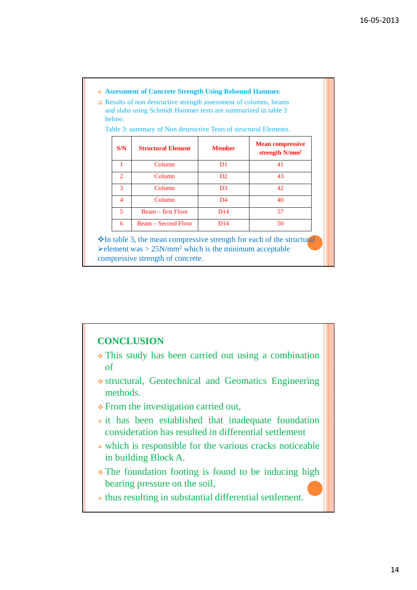

## **CONCLUSION**

- This study has been carried out using a combination of
- structural, Geotechnical and Geomatics Engineering methods.
- From the investigation carried out,
- $\triangleright$  it has been established that inadequate foundation consideration has resulted in differential settlement
- which is responsible for the various cracks noticeable in building Block A.
- The foundation footing is found to be inducing high bearing pressure on the soil,
- thus resulting in substantial differential settlement.